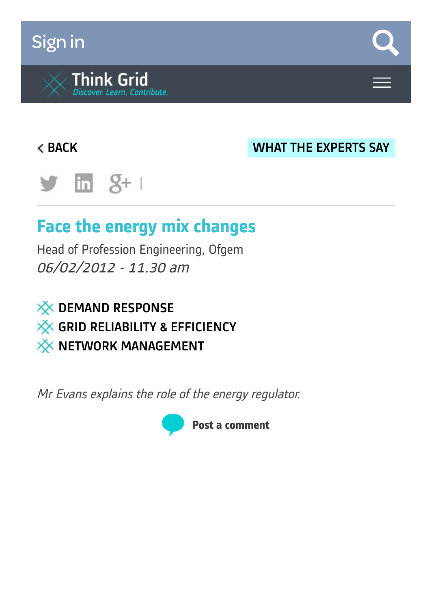# [Sign](https://www.think-grid.org/user/login) in



### [BACK](https://www.think-grid.org/face-energy-mix-changes?display=all) WHAT THE [EXPERTS](https://www.think-grid.org/list/what-the-experts-say) SAY



# **Face the energy mix changes**

Head of Profession Engineering, Ofgem 06/02/2012 - 11.30 am



Mr Evans explains the role of the energy regulator.

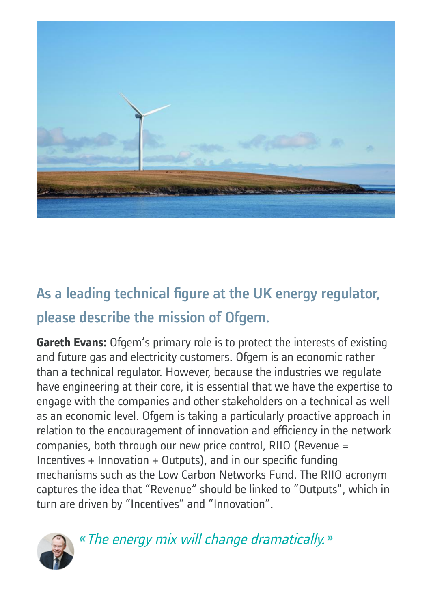

## As a leading technical figure at the UK energy regulator, please describe the mission of Ofgem.

**Gareth Evans:** Ofgem's primary role is to protect the interests of existing and future gas and electricity customers. Ofgem is an economic rather than a technical regulator. However, because the industries we regulate have engineering at their core, it is essential that we have the expertise to engage with the companies and other stakeholders on a technical as well as an economic level. Ofgem is taking a particularly proactive approach in relation to the encouragement of innovation and efficiency in the network companies, both through our new price control, RIIO (Revenue = Incentives + Innovation + Outputs), and in our specific funding mechanisms such as the Low Carbon Networks Fund. The RIIO acronym captures the idea that "Revenue" should be linked to "Outputs", which in turn are driven by "Incentives" and "Innovation".



« The energy mix will change dramatically. »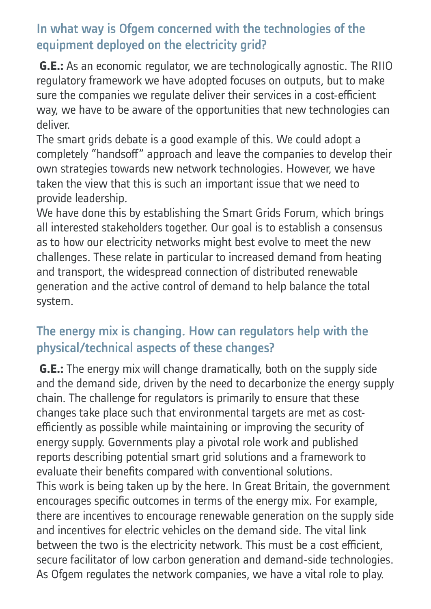### In what way is Ofgem concerned with the technologies of the equipment deployed on the electricity grid?

**G.E.:** As an economic regulator, we are technologically agnostic. The RIIO regulatory framework we have adopted focuses on outputs, but to make sure the companies we regulate deliver their services in a cost-efficient way, we have to be aware of the opportunities that new technologies can deliver.

The smart grids debate is a good example of this. We could adopt a completely "handsoff" approach and leave the companies to develop their own strategies towards new network technologies. However, we have taken the view that this is such an important issue that we need to provide leadership.

We have done this by establishing the Smart Grids Forum, which brings all interested stakeholders together. Our goal is to establish a consensus as to how our electricity networks might best evolve to meet the new challenges. These relate in particular to increased demand from heating and transport, the widespread connection of distributed renewable generation and the active control of demand to help balance the total system.

#### The energy mix is changing. How can regulators help with the physical/technical aspects of these changes?

**G.E.:** The energy mix will change dramatically, both on the supply side and the demand side, driven by the need to decarbonize the energy supply chain. The challenge for regulators is primarily to ensure that these changes take place such that environmental targets are met as costefficiently as possible while maintaining or improving the security of energy supply. Governments play a pivotal role work and published reports describing potential smart grid solutions and a framework to evaluate their benefits compared with conventional solutions. This work is being taken up by the here. In Great Britain, the government encourages specific outcomes in terms of the energy mix. For example, there are incentives to encourage renewable generation on the supply side and incentives for electric vehicles on the demand side. The vital link between the two is the electricity network. This must be a cost efficient, secure facilitator of low carbon generation and demand-side technologies. As Ofgem regulates the network companies, we have a vital role to play.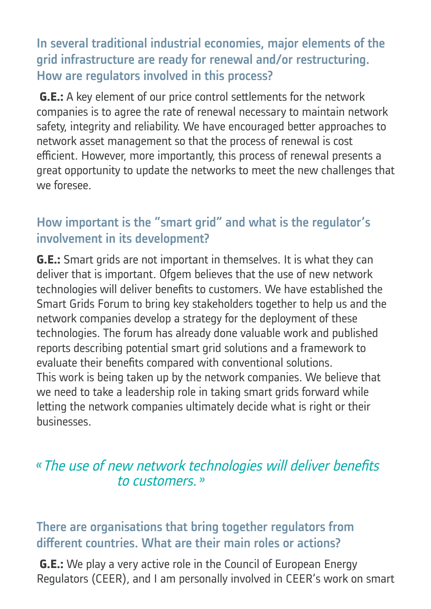In several traditional industrial economies, major elements of the grid infrastructure are ready for renewal and/or restructuring. How are regulators involved in this process?

**G.E.:** A key element of our price control settlements for the network companies is to agree the rate of renewal necessary to maintain network safety, integrity and reliability. We have encouraged better approaches to network asset management so that the process of renewal is cost efficient. However, more importantly, this process of renewal presents a great opportunity to update the networks to meet the new challenges that we foresee.

#### How important is the "smart grid" and what is the regulator's involvement in its development?

**G.E.:** Smart grids are not important in themselves. It is what they can deliver that is important. Ofgem believes that the use of new network technologies will deliver benefits to customers. We have established the Smart Grids Forum to bring key stakeholders together to help us and the network companies develop a strategy for the deployment of these technologies. The forum has already done valuable work and published reports describing potential smart grid solutions and a framework to evaluate their benefits compared with conventional solutions. This work is being taken up by the network companies. We believe that we need to take a leadership role in taking smart grids forward while letting the network companies ultimately decide what is right or their businesses.

### The use of new network technologies will deliver benefits to customers.<sup>»</sup>

### There are organisations that bring together regulators from different countries. What are their main roles or actions?

**G.E.:** We play a very active role in the Council of European Energy Regulators (CEER), and I am personally involved in CEER's work on smart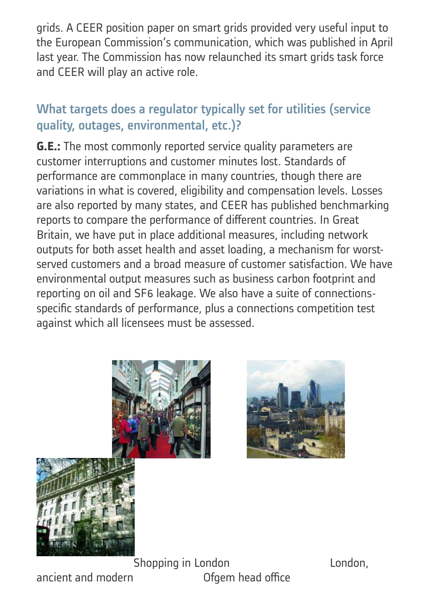grids. A CEER position paper on smart grids provided very useful input to the European Commission's communication, which was published in April last year. The Commission has now relaunched its smart grids task force and CEER will play an active role.

### What targets does a regulator typically set for utilities (service quality, outages, environmental, etc.)?

**G.E.:** The most commonly reported service quality parameters are customer interruptions and customer minutes lost. Standards of performance are commonplace in many countries, though there are variations in what is covered, eligibility and compensation levels. Losses are also reported by many states, and CEER has published benchmarking reports to compare the performance of different countries. In Great Britain, we have put in place additional measures, including network outputs for both asset health and asset loading, a mechanism for worstserved customers and a broad measure of customer satisfaction. We have environmental output measures such as business carbon footprint and reporting on oil and SF6 leakage. We also have a suite of connectionsspecific standards of performance, plus a connections competition test against which all licensees must be assessed.







**Shopping in London** London, ancient and modern **Ofgem head office**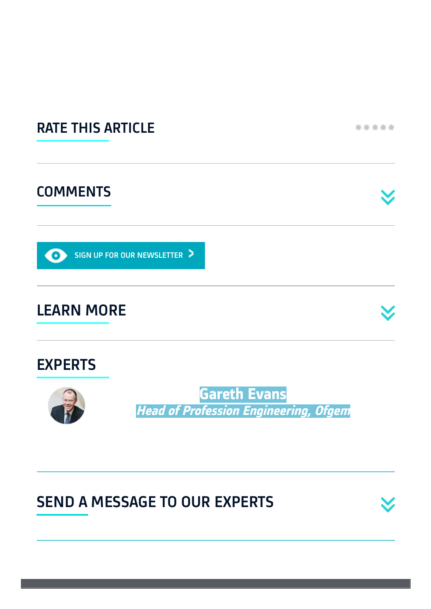

## SEND A MESSAGE TO OUR EXPERTS